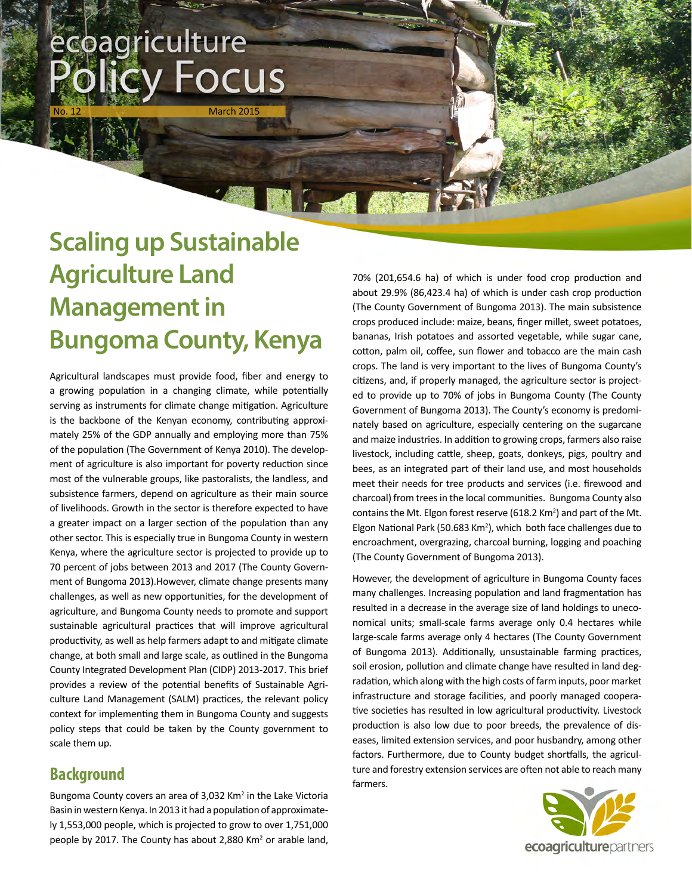# ecoagriculture / Focus

March 2015

**Signal Alberta** 

# **Scaling up Sustainable Agriculture Land Management in Bungoma County, Kenya**

Agricultural landscapes must provide food, fiber and energy to a growing population in a changing climate, while potentially serving as instruments for climate change mitigation. Agriculture is the backbone of the Kenyan economy, contributing approximately 25% of the GDP annually and employing more than 75% of the population (The Government of Kenya 2010). The development of agriculture is also important for poverty reduction since most of the vulnerable groups, like pastoralists, the landless, and subsistence farmers, depend on agriculture as their main source of livelihoods. Growth in the sector is therefore expected to have a greater impact on a larger section of the population than any other sector. This is especially true in Bungoma County in western Kenya, where the agriculture sector is projected to provide up to 70 percent of jobs between 2013 and 2017 (The County Government of Bungoma 2013).However, climate change presents many challenges, as well as new opportunities, for the development of agriculture, and Bungoma County needs to promote and support sustainable agricultural practices that will improve agricultural productivity, as well as help farmers adapt to and mitigate climate change, at both small and large scale, as outlined in the Bungoma County Integrated Development Plan (CIDP) 2013-2017. This brief provides a review of the potential benefits of Sustainable Agriculture Land Management (SALM) practices, the relevant policy context for implementing them in Bungoma County and suggests policy steps that could be taken by the County government to scale them up.

#### **Background**

Bungoma County covers an area of 3,032 Km<sup>2</sup> in the Lake Victoria Basin in western Kenya. In 2013 it had a population of approximately 1,553,000 people, which is projected to grow to over 1,751,000 people by 2017. The County has about 2,880 Km<sup>2</sup> or arable land, 70% (201,654.6 ha) of which is under food crop production and about 29.9% (86,423.4 ha) of which is under cash crop production (The County Government of Bungoma 2013). The main subsistence crops produced include: maize, beans, finger millet, sweet potatoes, bananas, Irish potatoes and assorted vegetable, while sugar cane, cotton, palm oil, coffee, sun flower and tobacco are the main cash crops. The land is very important to the lives of Bungoma County's citizens, and, if properly managed, the agriculture sector is projected to provide up to 70% of jobs in Bungoma County (The County Government of Bungoma 2013). The County's economy is predominately based on agriculture, especially centering on the sugarcane and maize industries. In addition to growing crops, farmers also raise livestock, including cattle, sheep, goats, donkeys, pigs, poultry and bees, as an integrated part of their land use, and most households meet their needs for tree products and services (i.e. firewood and charcoal) from trees in the local communities. Bungoma County also contains the Mt. Elgon forest reserve (618.2 Km<sup>2</sup>) and part of the Mt. Elgon National Park (50.683 Km<sup>2</sup>), which both face challenges due to encroachment, overgrazing, charcoal burning, logging and poaching (The County Government of Bungoma 2013).

However, the development of agriculture in Bungoma County faces many challenges. Increasing population and land fragmentation has resulted in a decrease in the average size of land holdings to uneconomical units; small-scale farms average only 0.4 hectares while large-scale farms average only 4 hectares (The County Government of Bungoma 2013). Additionally, unsustainable farming practices, soil erosion, pollution and climate change have resulted in land degradation, which along with the high costs of farm inputs, poor market infrastructure and storage facilities, and poorly managed cooperative societies has resulted in low agricultural productivity. Livestock production is also low due to poor breeds, the prevalence of diseases, limited extension services, and poor husbandry, among other factors. Furthermore, due to County budget shortfalls, the agriculture and forestry extension services are often not able to reach many farmers.

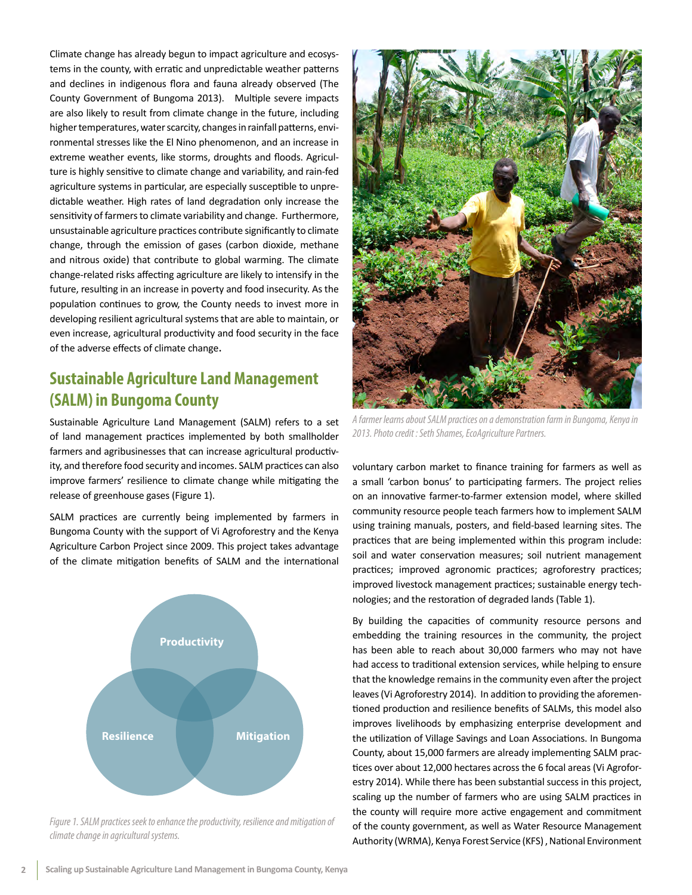Climate change has already begun to impact agriculture and ecosystems in the county, with erratic and unpredictable weather patterns and declines in indigenous flora and fauna already observed (The County Government of Bungoma 2013). Multiple severe impacts are also likely to result from climate change in the future, including higher temperatures, water scarcity, changes in rainfall patterns, environmental stresses like the El Nino phenomenon, and an increase in extreme weather events, like storms, droughts and floods. Agriculture is highly sensitive to climate change and variability, and rain-fed agriculture systems in particular, are especially susceptible to unpredictable weather. High rates of land degradation only increase the sensitivity of farmers to climate variability and change. Furthermore, unsustainable agriculture practices contribute significantly to climate change, through the emission of gases (carbon dioxide, methane and nitrous oxide) that contribute to global warming. The climate change-related risks affecting agriculture are likely to intensify in the future, resulting in an increase in poverty and food insecurity. As the population continues to grow, the County needs to invest more in developing resilient agricultural systems that are able to maintain, or even increase, agricultural productivity and food security in the face of the adverse effects of climate change.

### **Sustainable Agriculture Land Management (SALM) in Bungoma County**

Sustainable Agriculture Land Management (SALM) refers to a set of land management practices implemented by both smallholder farmers and agribusinesses that can increase agricultural productivity, and therefore food security and incomes. SALM practices can also improve farmers' resilience to climate change while mitigating the release of greenhouse gases (Figure 1).

SALM practices are currently being implemented by farmers in Bungoma County with the support of Vi Agroforestry and the Kenya Agriculture Carbon Project since 2009. This project takes advantage of the climate mitigation benefits of SALM and the international



*Figure 1. SALM practices seek to enhance the productivity, resilience and mitigation of climate change in agricultural systems.*



*A farmer learns about SALM practices on a demonstration farm in Bungoma, Kenya in 2013. Photo credit : Seth Shames, EcoAgriculture Partners.*

voluntary carbon market to finance training for farmers as well as a small 'carbon bonus' to participating farmers. The project relies on an innovative farmer-to-farmer extension model, where skilled community resource people teach farmers how to implement SALM using training manuals, posters, and field-based learning sites. The practices that are being implemented within this program include: soil and water conservation measures; soil nutrient management practices; improved agronomic practices; agroforestry practices; improved livestock management practices; sustainable energy technologies; and the restoration of degraded lands (Table 1).

By building the capacities of community resource persons and embedding the training resources in the community, the project has been able to reach about 30,000 farmers who may not have had access to traditional extension services, while helping to ensure that the knowledge remains in the community even after the project leaves (Vi Agroforestry 2014). In addition to providing the aforementioned production and resilience benefits of SALMs, this model also improves livelihoods by emphasizing enterprise development and the utilization of Village Savings and Loan Associations. In Bungoma County, about 15,000 farmers are already implementing SALM practices over about 12,000 hectares across the 6 focal areas (Vi Agroforestry 2014). While there has been substantial success in this project, scaling up the number of farmers who are using SALM practices in the county will require more active engagement and commitment of the county government, as well as Water Resource Management Authority (WRMA), Kenya Forest Service (KFS) , National Environment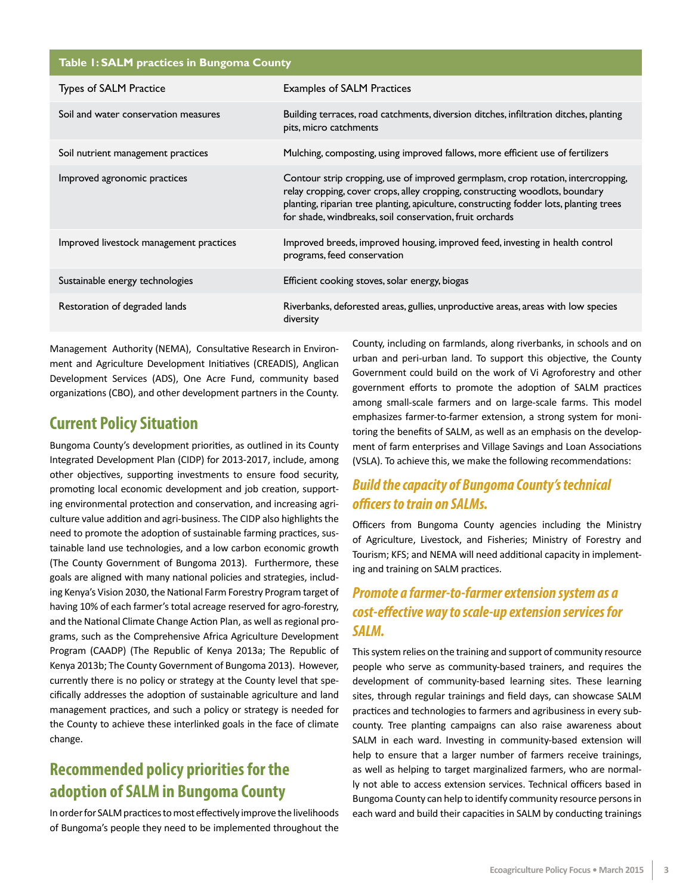| Table I: SALM practices in Bungoma County |  |
|-------------------------------------------|--|
| $\tau$ $\sim$ $\sim$ $\sim$               |  |

| <b>Types of SALM Practice</b>           | <b>Examples of SALM Practices</b>                                                                                                                                                                                                                                                                                      |
|-----------------------------------------|------------------------------------------------------------------------------------------------------------------------------------------------------------------------------------------------------------------------------------------------------------------------------------------------------------------------|
| Soil and water conservation measures    | Building terraces, road catchments, diversion ditches, infiltration ditches, planting<br>pits, micro catchments                                                                                                                                                                                                        |
| Soil nutrient management practices      | Mulching, composting, using improved fallows, more efficient use of fertilizers                                                                                                                                                                                                                                        |
| Improved agronomic practices            | Contour strip cropping, use of improved germplasm, crop rotation, intercropping,<br>relay cropping, cover crops, alley cropping, constructing woodlots, boundary<br>planting, riparian tree planting, apiculture, constructing fodder lots, planting trees<br>for shade, windbreaks, soil conservation, fruit orchards |
| Improved livestock management practices | Improved breeds, improved housing, improved feed, investing in health control<br>programs, feed conservation                                                                                                                                                                                                           |
| Sustainable energy technologies         | Efficient cooking stoves, solar energy, biogas                                                                                                                                                                                                                                                                         |
| Restoration of degraded lands           | Riverbanks, deforested areas, gullies, unproductive areas, areas with low species<br>diversity                                                                                                                                                                                                                         |

Management Authority (NEMA), Consultative Research in Environment and Agriculture Development Initiatives (CREADIS), Anglican Development Services (ADS), One Acre Fund, community based organizations (CBO), and other development partners in the County.

#### **Current Policy Situation**

Bungoma County's development priorities, as outlined in its County Integrated Development Plan (CIDP) for 2013-2017, include, among other objectives, supporting investments to ensure food security, promoting local economic development and job creation, supporting environmental protection and conservation, and increasing agriculture value addition and agri-business. The CIDP also highlights the need to promote the adoption of sustainable farming practices, sustainable land use technologies, and a low carbon economic growth (The County Government of Bungoma 2013). Furthermore, these goals are aligned with many national policies and strategies, including Kenya's Vision 2030, the National Farm Forestry Program target of having 10% of each farmer's total acreage reserved for agro-forestry, and the National Climate Change Action Plan, as well as regional programs, such as the Comprehensive Africa Agriculture Development Program (CAADP) (The Republic of Kenya 2013a; The Republic of Kenya 2013b; The County Government of Bungoma 2013). However, currently there is no policy or strategy at the County level that specifically addresses the adoption of sustainable agriculture and land management practices, and such a policy or strategy is needed for the County to achieve these interlinked goals in the face of climate change.

## **Recommended policy priorities for the adoption of SALM in Bungoma County**

In order for SALM practices to most effectively improve the livelihoods of Bungoma's people they need to be implemented throughout the County, including on farmlands, along riverbanks, in schools and on urban and peri-urban land. To support this objective, the County Government could build on the work of Vi Agroforestry and other government efforts to promote the adoption of SALM practices among small-scale farmers and on large-scale farms. This model emphasizes farmer-to-farmer extension, a strong system for monitoring the benefits of SALM, as well as an emphasis on the development of farm enterprises and Village Savings and Loan Associations (VSLA). To achieve this, we make the following recommendations:

#### *Build the capacity of Bungoma County's technical officers to train on SALMs.*

Officers from Bungoma County agencies including the Ministry of Agriculture, Livestock, and Fisheries; Ministry of Forestry and Tourism; KFS; and NEMA will need additional capacity in implementing and training on SALM practices.

#### *Promote a farmer-to-farmer extension system as a cost-effective way to scale-up extension services for SALM.*

This system relies on the training and support of community resource people who serve as community-based trainers, and requires the development of community-based learning sites. These learning sites, through regular trainings and field days, can showcase SALM practices and technologies to farmers and agribusiness in every subcounty. Tree planting campaigns can also raise awareness about SALM in each ward. Investing in community-based extension will help to ensure that a larger number of farmers receive trainings, as well as helping to target marginalized farmers, who are normally not able to access extension services. Technical officers based in Bungoma County can help to identify community resource persons in each ward and build their capacities in SALM by conducting trainings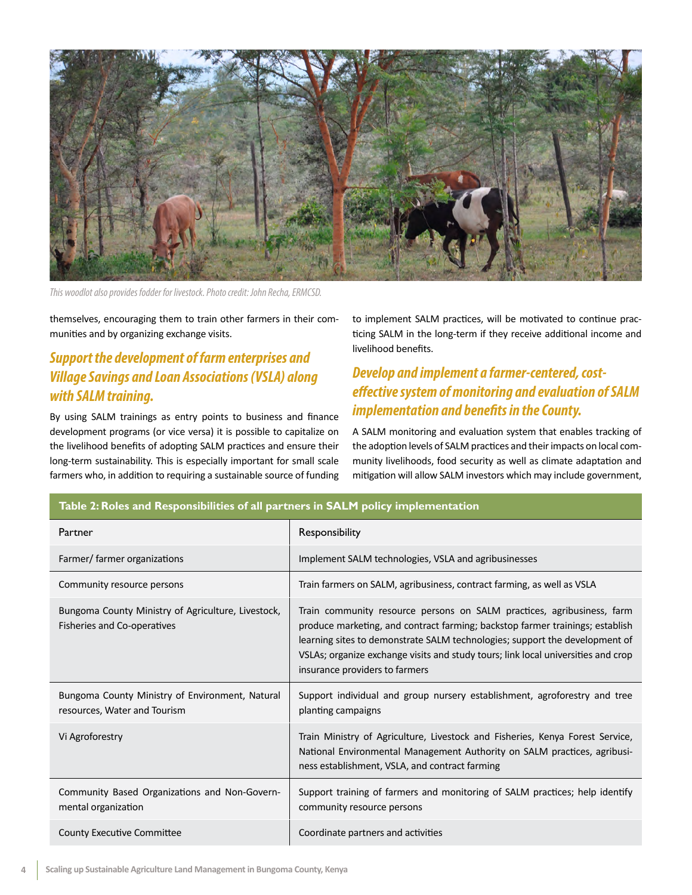

*This woodlot also provides fodder for livestock. Photo credit: John Recha, ERMCSD.*

themselves, encouraging them to train other farmers in their communities and by organizing exchange visits.

#### *Support the development of farm enterprises and Village Savings and Loan Associations (VSLA) along with SALM training.*

By using SALM trainings as entry points to business and finance development programs (or vice versa) it is possible to capitalize on the livelihood benefits of adopting SALM practices and ensure their long-term sustainability. This is especially important for small scale farmers who, in addition to requiring a sustainable source of funding to implement SALM practices, will be motivated to continue practicing SALM in the long-term if they receive additional income and livelihood benefits.

#### *Develop and implement a farmer-centered, costeffective system of monitoring and evaluation of SALM implementation and benefits in the County.*

A SALM monitoring and evaluation system that enables tracking of the adoption levels of SALM practices and their impacts on local community livelihoods, food security as well as climate adaptation and mitigation will allow SALM investors which may include government,

| Partner                                                                           | Responsibility                                                                                                                                                                                                                                                                                                                                                |
|-----------------------------------------------------------------------------------|---------------------------------------------------------------------------------------------------------------------------------------------------------------------------------------------------------------------------------------------------------------------------------------------------------------------------------------------------------------|
| Farmer/ farmer organizations                                                      | Implement SALM technologies, VSLA and agribusinesses                                                                                                                                                                                                                                                                                                          |
| Community resource persons                                                        | Train farmers on SALM, agribusiness, contract farming, as well as VSLA                                                                                                                                                                                                                                                                                        |
| Bungoma County Ministry of Agriculture, Livestock,<br>Fisheries and Co-operatives | Train community resource persons on SALM practices, agribusiness, farm<br>produce marketing, and contract farming; backstop farmer trainings; establish<br>learning sites to demonstrate SALM technologies; support the development of<br>VSLAs; organize exchange visits and study tours; link local universities and crop<br>insurance providers to farmers |
| Bungoma County Ministry of Environment, Natural<br>resources, Water and Tourism   | Support individual and group nursery establishment, agroforestry and tree<br>planting campaigns                                                                                                                                                                                                                                                               |
| Vi Agroforestry                                                                   | Train Ministry of Agriculture, Livestock and Fisheries, Kenya Forest Service,<br>National Environmental Management Authority on SALM practices, agribusi-<br>ness establishment, VSLA, and contract farming                                                                                                                                                   |
| Community Based Organizations and Non-Govern-<br>mental organization              | Support training of farmers and monitoring of SALM practices; help identify<br>community resource persons                                                                                                                                                                                                                                                     |
| <b>County Executive Committee</b>                                                 | Coordinate partners and activities                                                                                                                                                                                                                                                                                                                            |

#### **Table 2: Roles and Responsibilities of all partners in SALM policy implementation**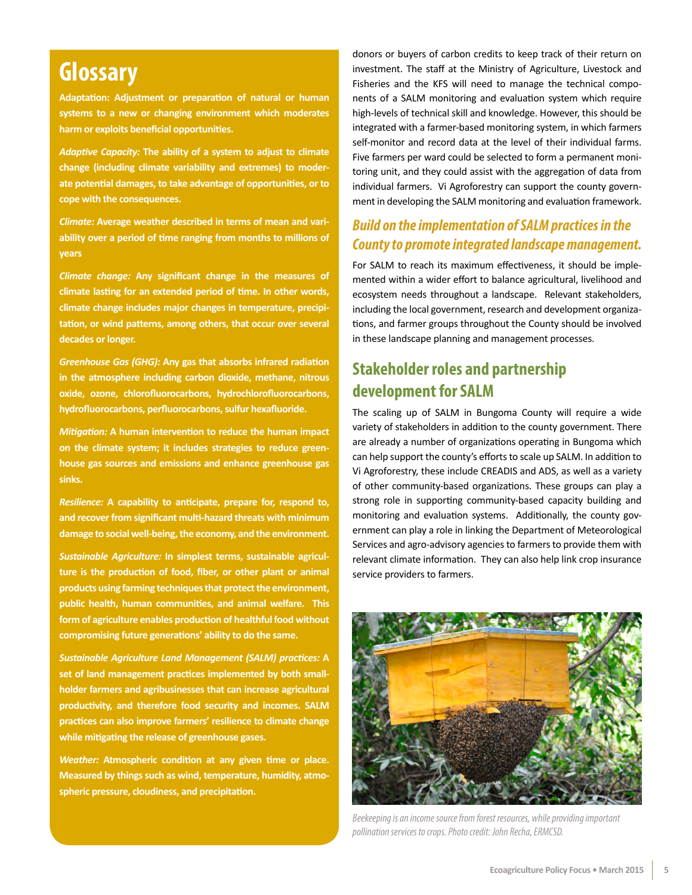# **Glossary**

**Adaptation: Adjustment or preparation of natural or human systems to a new or changing environment which moderates harm or exploits beneficial opportunities.**

*Adaptive Capacity:* **The ability of a system to adjust to climate change (including climate variability and extremes) to moderate potential damages, to take advantage of opportunities, or to cope with the consequences.**

*Climate:* **Average weather described in terms of mean and variability over a period of time ranging from months to millions of years**

*Climate change:* **Any significant change in the measures of climate lasting for an extended period of time. In other words, climate change includes major changes in temperature, precipitation, or wind patterns, among others, that occur over several decades or longer.**

*Greenhouse Gas (GHG):* **Any gas that absorbs infrared radiation in the atmosphere including carbon dioxide, methane, nitrous oxide, ozone, chlorofluorocarbons, hydrochlorofluorocarbons, hydrofluorocarbons, perfluorocarbons, sulfur hexafluoride.**

*Mitigation:* **A human intervention to reduce the human impact on the climate system; it includes strategies to reduce greenhouse gas sources and emissions and enhance greenhouse gas sinks.** 

*Resilience:* **A capability to anticipate, prepare for, respond to, and recover from significant multi-hazard threats with minimum damage to social well-being, the economy, and the environment.**

*Sustainable Agriculture:* **In simplest terms, sustainable agriculture is the production of food, fiber, or other plant or animal products using farming techniques that protect the environment, public health, human communities, and animal welfare. This form of agriculture enables production of healthful food without compromising future generations' ability to do the same.** 

*Sustainable Agriculture Land Management (SALM) practices:* **A set of land management practices implemented by both smallholder farmers and agribusinesses that can increase agricultural productivity, and therefore food security and incomes. SALM practices can also improve farmers' resilience to climate change while mitigating the release of greenhouse gases.**

*Weather:* **Atmospheric condition at any given time or place. Measured by things such as wind, temperature, humidity, atmospheric pressure, cloudiness, and precipitation.**

donors or buyers of carbon credits to keep track of their return on investment. The staff at the Ministry of Agriculture, Livestock and Fisheries and the KFS will need to manage the technical components of a SALM monitoring and evaluation system which require high-levels of technical skill and knowledge. However, this should be integrated with a farmer-based monitoring system, in which farmers self-monitor and record data at the level of their individual farms. Five farmers per ward could be selected to form a permanent monitoring unit, and they could assist with the aggregation of data from individual farmers. Vi Agroforestry can support the county government in developing the SALM monitoring and evaluation framework.

#### *Build on the implementation of SALM practices in the County to promote integrated landscape management.*

For SALM to reach its maximum effectiveness, it should be implemented within a wider effort to balance agricultural, livelihood and ecosystem needs throughout a landscape. Relevant stakeholders, including the local government, research and development organizations, and farmer groups throughout the County should be involved in these landscape planning and management processes.

### **Stakeholder roles and partnership development for SALM**

The scaling up of SALM in Bungoma County will require a wide variety of stakeholders in addition to the county government. There are already a number of organizations operating in Bungoma which can help support the county's efforts to scale up SALM. In addition to Vi Agroforestry, these include CREADIS and ADS, as well as a variety of other community-based organizations. These groups can play a strong role in supporting community-based capacity building and monitoring and evaluation systems. Additionally, the county government can play a role in linking the Department of Meteorological Services and agro-advisory agencies to farmers to provide them with relevant climate information. They can also help link crop insurance service providers to farmers.



*Beekeeping is an income source from forest resources, while providing important pollination services to crops. Photo credit: John Recha, ERMCSD.*